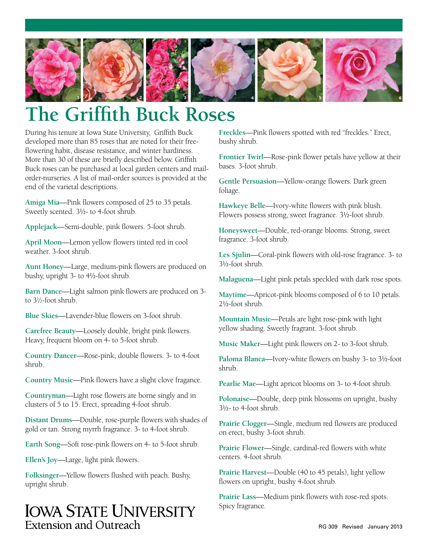

# **The Griffith Buck Roses**

During his tenure at Iowa State University, Griffith Buck developed more than 85 roses that are noted for their freeflowering habit, disease resistance, and winter hardiness. More than 30 of these are briefly described below. Griffith Buck roses can be purchased at local garden centers and mailorder-nurseries. A list of mail-order sources is provided at the end of the varietal descriptions.

**Amiga Mia**—Pink flowers composed of 25 to 35 petals. Sweetly scented. 3½- to 4-foot shrub.

**Applejack**—Semi-double, pink flowers. 5-foot shrub.

**April Moon**—Lemon yellow flowers tinted red in cool weather. 3-foot shrub.

**Aunt Honey**—Large, medium-pink flowers are produced on bushy, upright 3- to 4½-foot shrub.

**Barn Dance**—Light salmon pink flowers are produced on 3 to 31 ⁄2-foot shrub.

**Blue Skies**—Lavender-blue flowers on 3-foot shrub.

**Carefree Beauty**—Loosely double, bright pink flowers. Heavy, frequent bloom on 4- to 5-foot shrub.

**Country Dancer**—Rose-pink, double flowers. 3- to 4-foot shrub.

**Country Music**—Pink flowers have a slight clove fragance.

**Countryman**—Light rose flowers are borne singly and in clusters of 5 to 15. Erect, spreading 4-foot shrub.

**Distant Drums**—Double, rose-purple flowers with shades of gold or tan. Strong myrrh fragrance. 3- to 4-foot shrub.

**Earth Song**—Soft rose-pink flowers on 4- to 5-foot shrub.

**Ellen's Joy**—Large, light pink flowers.

**Folksinger**—Yellow flowers flushed with peach. Bushy, upright shrub.

# **IOWA STATE UNIVERSITY** Extension and Outreach

**Freckles**—Pink flowers spotted with red "freckles." Erect, bushy shrub.

**Frontier Twirl**—Rose-pink flower petals have yellow at their bases. 3-foot shrub.

**Gentle Persuasion**—Yellow-orange flowers. Dark green foliage.

**Hawkeye Belle**—Ivory-white flowers with pink blush. Flowers possess strong, sweet fragrance. 3½-foot shrub.

**Honeysweet**—Double, red-orange blooms. Strong, sweet fragrance. 3-foot shrub.

**Les Sjulin**—Coral-pink flowers with old-rose fragrance. 3- to 3½-foot shrub.

**Malaguena**—Light pink petals speckled with dark rose spots.

**Maytime**—Apricot-pink blooms composed of 6 to 10 petals. 2½-foot shrub.

**Mountain Music**—Petals are light rose-pink with light yellow shading. Sweetly fragrant. 3-foot shrub.

**Music Maker**—Light pink flowers on 2- to 3-foot shrub.

**Paloma Blanca**—Ivory-white flowers on bushy 3- to 3½-foot shrub.

**Pearlie Mae**—Light apricot blooms on 3- to 4-foot shrub.

**Polonaise**—Double, deep pink blossoms on upright, bushy  $3\frac{1}{2}$ - to 4-foot shrub.

**Prairie Clogger**—Single, medium red flowers are produced on erect, bushy 3-foot shrub.

**Prairie Flower**—Single, cardinal-red flowers with white centers. 4-foot shrub.

**Prairie Harvest**—Double (40 to 45 petals), light yellow flowers on upright, bushy 4-foot shrub.

**Prairie Lass**—Medium pink flowers with rose-red spots. Spicy fragrance.